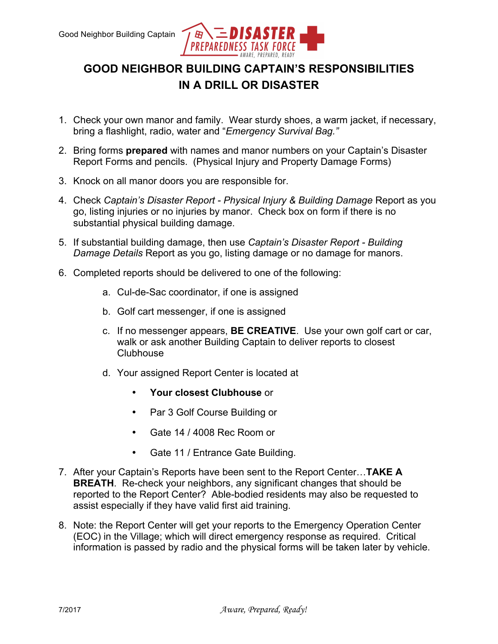

## **GOOD NEIGHBOR BUILDING CAPTAIN'S RESPONSIBILITIES IN A DRILL OR DISASTER**

- 1. Check your own manor and family. Wear sturdy shoes, a warm jacket, if necessary, bring a flashlight, radio, water and "*Emergency Survival Bag."*
- 2. Bring forms **prepared** with names and manor numbers on your Captain's Disaster Report Forms and pencils. (Physical Injury and Property Damage Forms)
- 3. Knock on all manor doors you are responsible for.
- 4. Check *Captain's Disaster Report - Physical Injury & Building Damage* Report as you go, listing injuries or no injuries by manor. Check box on form if there is no substantial physical building damage.
- 5. If substantial building damage, then use *Captain's Disaster Report - Building Damage Details* Report as you go, listing damage or no damage for manors.
- 6. Completed reports should be delivered to one of the following:
	- a. Cul-de-Sac coordinator, if one is assigned
	- b. Golf cart messenger, if one is assigned
	- c. If no messenger appears, **BE CREATIVE**. Use your own golf cart or car, walk or ask another Building Captain to deliver reports to closest **Clubhouse**
	- d. Your assigned Report Center is located at
		- **Your closest Clubhouse** or
		- Par 3 Golf Course Building or
		- Gate 14 / 4008 Rec Room or
		- Gate 11 / Entrance Gate Building.
- 7. After your Captain's Reports have been sent to the Report Center…**TAKE A BREATH**. Re-check your neighbors, any significant changes that should be reported to the Report Center? Able-bodied residents may also be requested to assist especially if they have valid first aid training.
- 8. Note: the Report Center will get your reports to the Emergency Operation Center (EOC) in the Village; which will direct emergency response as required. Critical information is passed by radio and the physical forms will be taken later by vehicle.